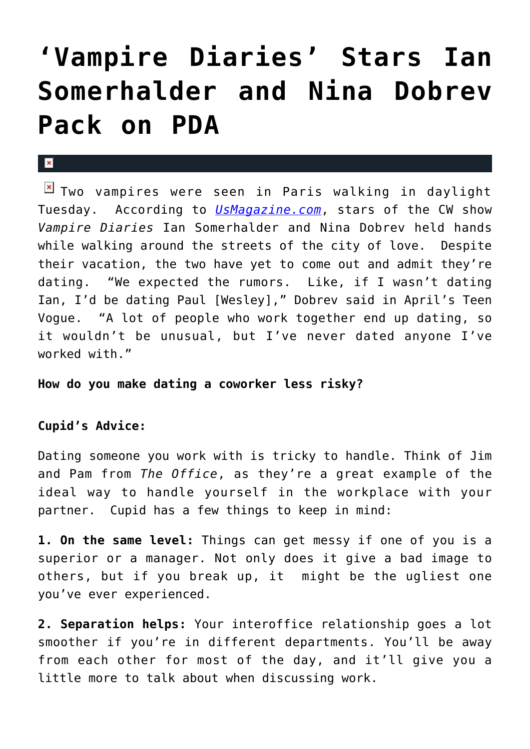## **['Vampire Diaries' Stars Ian](https://cupidspulse.com/15547/vampire-diaries-stars-ian-somerhalder-and-nina-dobrev-pack-on-pda/) [Somerhalder and Nina Dobrev](https://cupidspulse.com/15547/vampire-diaries-stars-ian-somerhalder-and-nina-dobrev-pack-on-pda/) [Pack on PDA](https://cupidspulse.com/15547/vampire-diaries-stars-ian-somerhalder-and-nina-dobrev-pack-on-pda/)**

## $\mathbf{x}$

Two vampires were seen in Paris walking in daylight Tuesday. According to *[UsMagazine.com](http://www.usmagazine.com/celebritynews/news/vampire-diaries-ian-somerhalder-nina-dobrev-pack-on-pda-2011255)*, stars of the CW show *Vampire Diaries* Ian Somerhalder and Nina Dobrev held hands while walking around the streets of the city of love. Despite their vacation, the two have yet to come out and admit they're dating. "We expected the rumors. Like, if I wasn't dating Ian, I'd be dating Paul [Wesley]," Dobrev said in April's Teen Vogue. "A lot of people who work together end up dating, so it wouldn't be unusual, but I've never dated anyone I've worked with."

**How do you make dating a coworker less risky?**

## **Cupid's Advice:**

Dating someone you work with is tricky to handle. Think of Jim and Pam from *The Office*, as they're a great example of the ideal way to handle yourself in the workplace with your partner. Cupid has a few things to keep in mind:

**1. On the same level:** Things can get messy if one of you is a superior or a manager. Not only does it give a bad image to others, but if you break up, it might be the ugliest one you've ever experienced.

**2. Separation helps:** Your interoffice relationship goes a lot smoother if you're in different departments. You'll be away from each other for most of the day, and it'll give you a little more to talk about when discussing work.